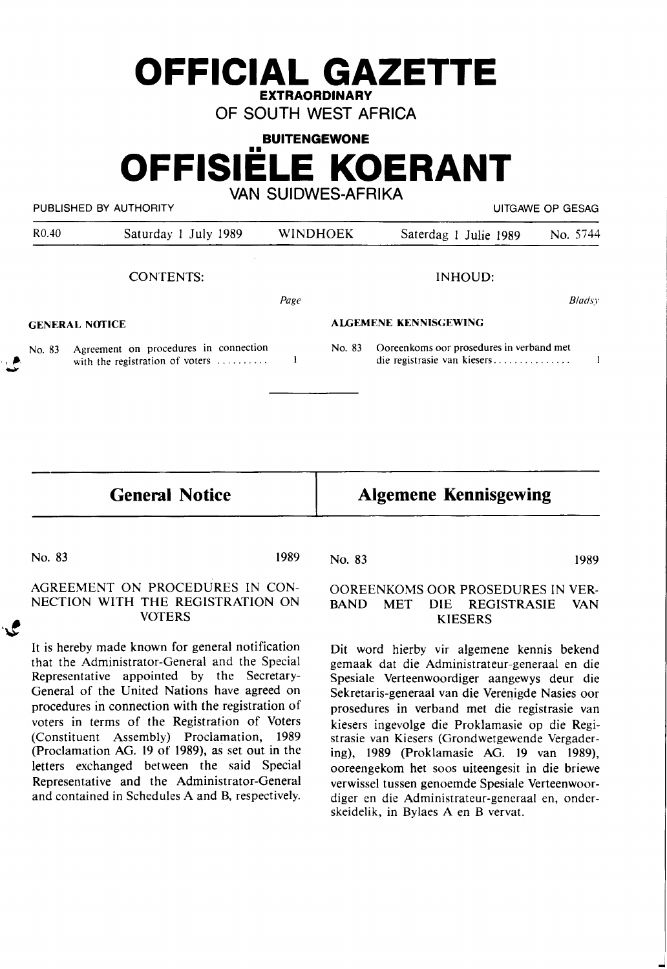## **OFFICIAL GAZETTE EXTRAORDINARY**

OF SOUTH WEST AFRICA

**BUITENGEWONE** 

## **OFFISIELE KOERANT**  VAN SUIDWES-AFRIKA

PUBLISHED BY AUTHORITY **EXECUTE A SECOND TEST OF SECOND ACT CONTROLLY AND ACT OF SECOND PUTGAWE OF GESAG** 

| R <sub>0.40</sub>     | Saturday 1 July 1989                                                     | <b>WINDHOEK</b>              |        | Saterdag 1 Julie 1989                                                   | No. 5744 |
|-----------------------|--------------------------------------------------------------------------|------------------------------|--------|-------------------------------------------------------------------------|----------|
|                       | <b>CONTENTS:</b>                                                         |                              |        | INHOUD:                                                                 |          |
|                       |                                                                          | Page                         |        |                                                                         | Bladsy   |
| <b>GENERAL NOTICE</b> |                                                                          | <b>ALGEMENE KENNISGEWING</b> |        |                                                                         |          |
| No. 83                | Agreement on procedures in connection<br>with the registration of voters |                              | No. 83 | Ooreenkoms oor prosedures in verband met<br>die registrasie van kiesers |          |

**General Notice** 

### **Algemene Kennisgewing**

No. 83 1989

 $\mathcal{L}$ 

#### AGREEMENT ON PROCEDURES IN CON-NECTION WITH THE REGISTRATION ON VOTERS

It is hereby made known for general notification that the Administrator-General and the Special Representative appointed by the Secretary-General of the United Nations have agreed on procedures in connection with the registration of voters in terms of the Registration of Voters (Constituent Assembly) Proclamation, 1989 (Proclamation AG. 19 of 1989), as set out in the letters exchanged between the said Special Representative and the Administrator-General and contained in Schedules A and B, respectively.

No. 83 1989

#### OOREENKOMS OOR PROSEDURES IN VER-BAND MET DIE REGISTRASIE VAN KIESERS

Dit word hierby vir algemene kennis bekend gemaak dat die Administrateur-generaal en die Spesiale Verteenwoordiger aangewys deur die Sekretaris-generaal van die Verenigde Nasies oor prosedures in verband met die registrasie van kiesers ingevolge die Proklamasie op die Registrasie van Kiesers (Grondwetgewende Vergadering), 1989 (Proklamasie AG. 19 van 1989), ooreengekom het soos uiteengesit in die briewe verwissel tussen genoemde Spesiale Verteenwoordiger en die Administrateur-generaal en, onderskeidelik, in Bylaes A en B vervat.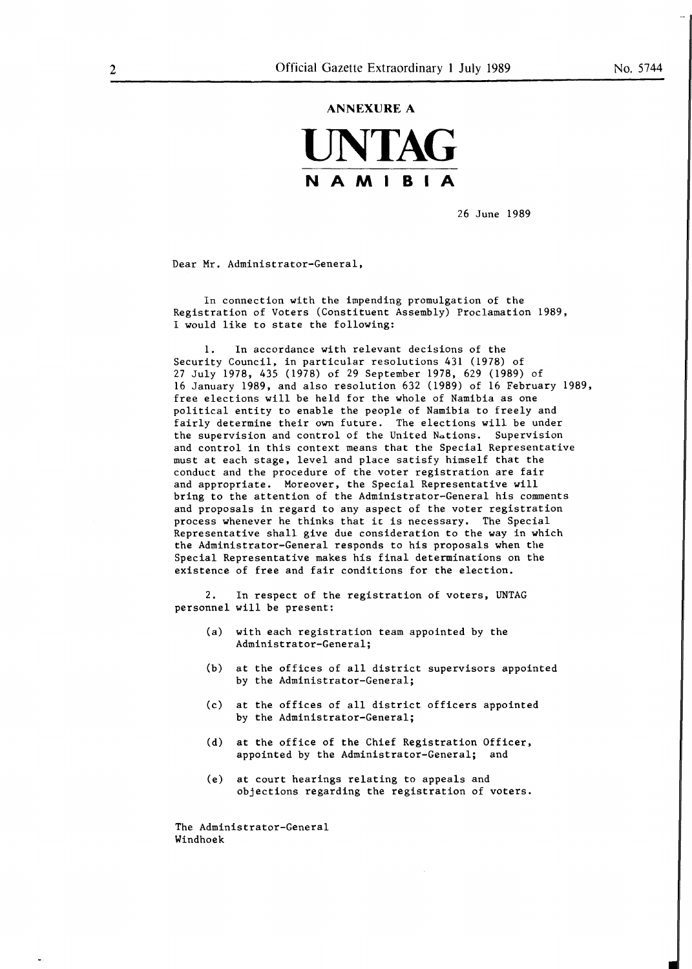# **ANNEXURE A UNTAG NAMIBIA**

26 June 1989

Dear Mr. Administrator-General,

In connection with the impending promulgation of the Registration of Voters (Constituent Assembly) Proclamation 1989, I would like to state the following:

1. In accordance with relevant decisions of the Security Council, in particular resolutions 431 (1978) of 27 July 1978, 435 (1978) of 29 September 1978, 629 (1989) of 16 January 1989, and also resolution 632 (1989) of 16 February 1989, free elections **will** be held for the whole of Namibia as one political entity to enable the people of Namibia to freely and fairly determine their own future. The elections will be under the supervision and control of the United Nations. Supervision and control in this context means that the Special Representative must at each stage, level and place satisfy himself that the conduct and the procedure of the voter registration are fair and appropriate. Moreover, the Special Representative will bring to the attention of the Administrator-General his comments and proposals in regard to any aspect of the voter registration process whenever he thinks that ic is necessary. The Special Representative shall give due consideration to the way in which the Administrator-General responds to his proposals when the Special Representative makes his final determinations on the existence of free and fair conditions for the election.

2. In respect of the registration of voters, UNTAG personnel will be present:

- (a) with each registration team appointed by the Administrator-General;
- (b) at the offices of all district supervisors appointed by the Administrator-General;
- (c) at the offices of all district officers appointed by the Administrator-General;
- (d) at the office of the Chief Registration Officer, appointed by the Administrator-General; and
- (e) at court hearings relating to appeals and objections regarding the registration of voters.

The Administrator-General Windhoek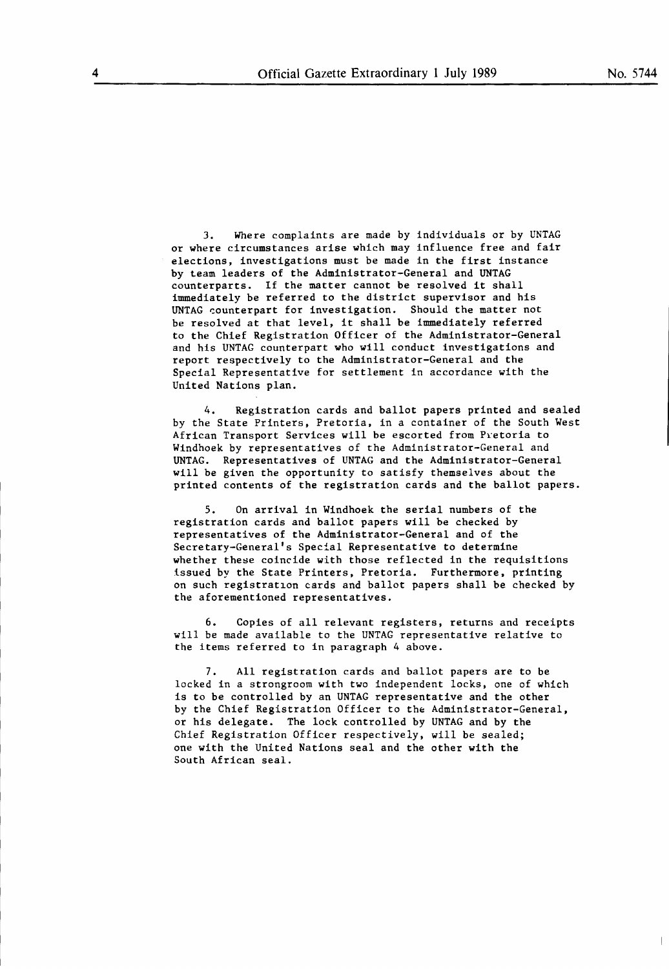3. Where complaints are **made** by individuals or by UNTAG or where circumstances arise which may influence free and fair elections, investigations must be made in the first instance by team leaders of the Administrator-General and UNTAG counterparts. If the matter cannot be resolved it shall immediately be referred to the district supervisor and his UNTAG counterpart for investigation. Should the matter not be resolved at that level, it shall be immediately referred to the Chief Registration Officer of the Administrator-General and his UNTAG counterpart who will conduct investigations and report respectively to the Administrator-General and the Special Representative for settlement in accordance with the United Nations plan.

Registration cards and ballot papers printed and sealed by the State Printers, Pretoria, in a container of the South West African Transport Services will be escorted from Pretoria to Windhoek by representatives of the Administrator-General and UNTAG. Representatives of UNTAG and the Administrator-General will be given the opportunity to satisfy themselves about the printed contents of the registration cards and the ballot papers.

5. On arrival in Windhoek the serial numbers of the registration cards and ballot papers will be checked by representatives of the Administrator-General and of the Secretary-General's Special Representative to determine whether these coincide with those reflected in the requisitions issued by the State Printers, Pretoria. Furthermore, printing on such registration cards and ballot papers shall be checked by the aforementioned representatives.

6. Copies of all relevant registers, returns and receipts will be made available to the UNTAG representative relative to the items referred to in paragraph 4 above.

All registration cards and ballot papers are to be locked in a strongroom with two independent locks, one of which is to be controlled by an UNTAG representative and the other by the Chief Registration Officer to the Administrator-General, or his delegate. The lock controlled by UNTAG and by the Chief Registration Officer respectively, will be sealed; one with the United Nations seal and the other with the South African seal.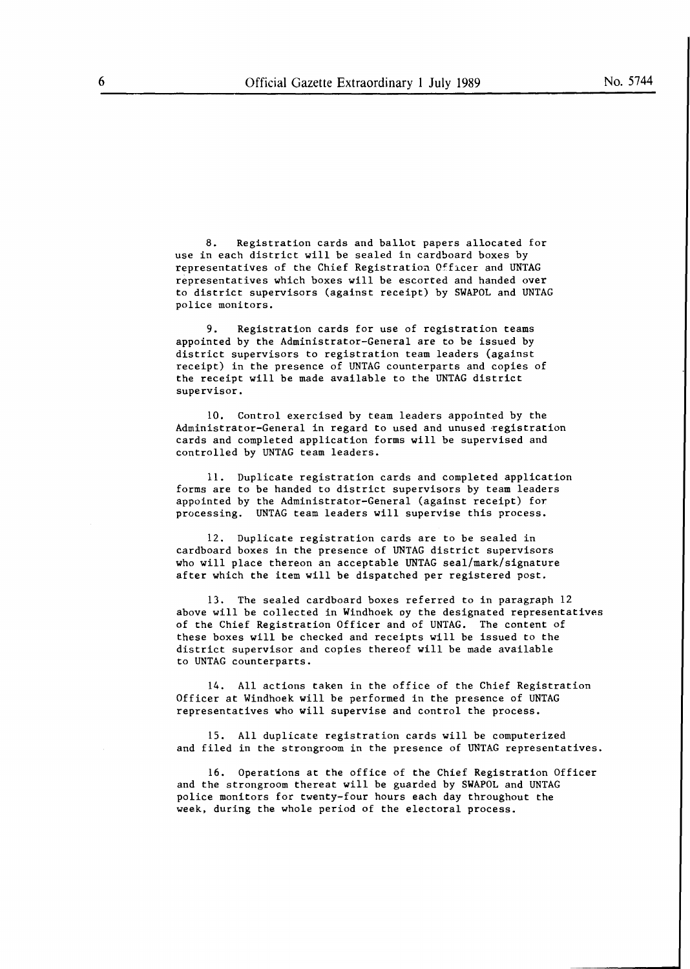8. Registration cards and ballot papers allocated for use in each district will be sealed in cardboard boxes by representatives of the Chief Registration Officer and UNTAG representatives which boxes will be escorted and handed over to district supervisors (against receipt) by **SWAPOL** and UNTAG police monitors.

9. Registration cards for use of registration teams appointed by the Administrator-General are to be issued by district supervisors to registration team leaders (against receipt) in the presence of UNTAG counterparts and copies of the receipt will be made available to the UNTAG district supervisor.

10. Control exercised by team leaders appointed by the Administrator-General in regard to used and unused registration cards and completed application forms **will** be supervised and controlled by UNTAG team leaders.

11. Duplicate registration cards and completed application forms are to **be** handed to district supervisors by team leaders appointed by the Administrator-General (against receipt) for processing. UNTAG team leaders will supervise this process.

12. Duplicate registration cards are to be sealed in cardboard boxes in the presence of UNTAG district supervisors who will place thereon an acceptable UNTAG seal/mark/signature after which the item will be dispatched per registered post.

13. The sealed cardboard boxes referred to in paragraph 12 above will be collected in Windhoek oy the designated representatives of the Chief Registration Officer and of UNTAG. The content of these boxes will be checked and receipts will be issued to the district supervisor and copies thereof will be made available to UNTAG counterparts.

14. All actions taken in the office of the Chief Registration Officer at Windhoek will be performed in the presence of UNTAG representatives who will supervise and control the process.

15. All duplicate registration cards will be computerized and filed in the strongroom in the presence of UNTAG representatives.

16. Operations at the office of the Chief Registration Officer and the strongroom thereat will be guarded by SWAPOL and UNTAG police monitors for twenty-four hours each day throughout the week, during the whole period of the electoral process.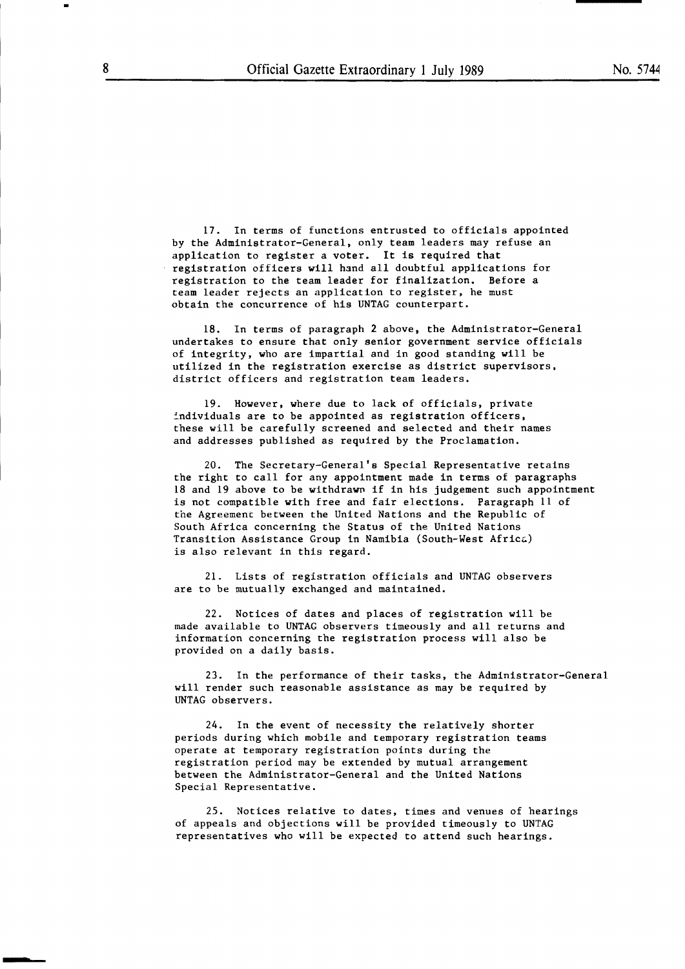17. In terms of functions entrusted to officials appointed by the Administrator-General, only team leaders may refuse an application to register a voter. It is required that registration officers will hand all doubtful applications for registration to the team leader for finalization, Before a team leader rejects an application to register, he must obtain the concurrence of his UNTAG counterpart.

18. In terms of paragraph 2 above, the Administrator-General undertakes to ensure that only senior government service officials of integrity, who are impartial and in good standing will be utilized in the registration exercise as district supervisors, district officers and registration team leaders.

19. However, where due to lack of officials, private individuals are to be appointed as registration officers, these will be carefully screened and selected and their names and addresses published as required by the Proclamation,

20. The Secretary-General's Special Representative retains the right to call for any appointment made in terms of paragraphs 18 and 19 above to be **withdrawn** if in his judgement such appointment is not compatible with free and fair elections. Paragraph 11 of the Agreement between the United Nations and the Republic of South Africa concerning the Status of the United Nations Transition Assistance Group in Namibia (South-West Afric&) is also relevant in this regard.

21. Lists of registration officials and UNTAG observers are to be mutually exchanged and maintained.

22. Notices of dates and places of registration will be made available to UNTAG observers timeously and all returns and information concerning the registration process will also be provided on a daily basis.

23. In the performance of their tasks, the Administrator-General will render such reasonable assistance as may be required by UNTAG observers.

24. In the event of necessity the relatively shorter periods during which mobile and temporary registration teams operate at temporary registration points during the registration period may be extended by mutual arrangement between the Administrator-General and the United Nations Special Representative.

25. Notices relative to dates, times and venues of hearings of appeals and objections will be provided timeously to UNTAG representatives who will be expected to attend such hearings.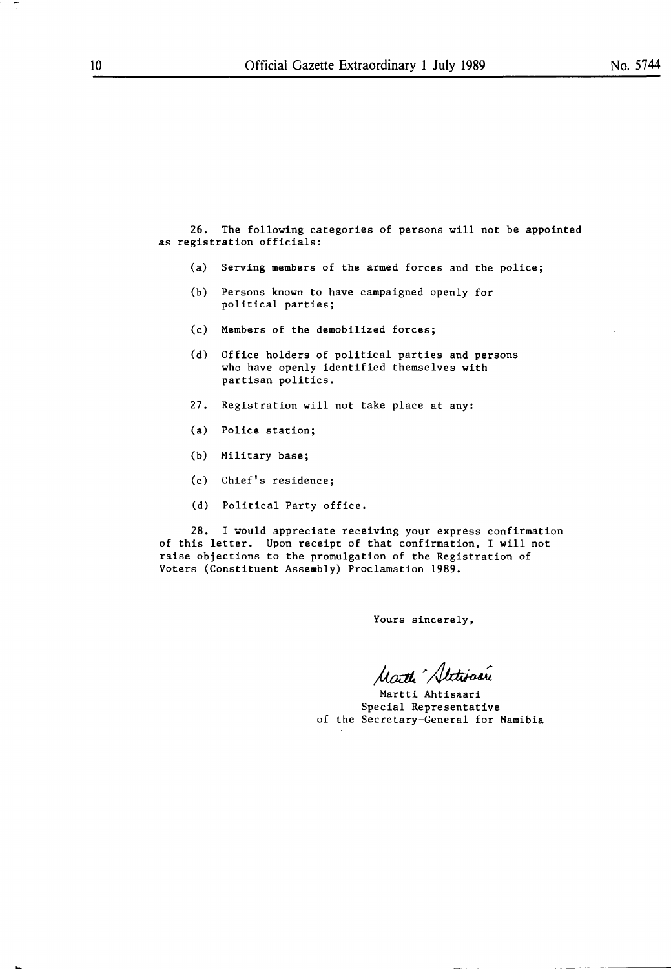26. The following categories of persons will not be appointed as registration officials:

- (a) Serving members of the armed forces and the police;
- (b) Persons known to have campaigned openly for political parties;
- (c) Members of the demobilized forces;
- (d) Office holders of political parties and persons who have openly identified themselves with partisan politics.
- 27. Registration will not take place at any:
- (a) Police station;
- (b) Military base;
- (c) Chief's residence;
- (d) Political Party office.

28. I would appreciate receiving your express confirmation of this letter. Upon receipt of that confirmation, I will not raise objections to the promulgation of the Registration of Voters (Constituent Assembly) Proclamation 1989.

Yours sincerely,

Marthe "Sletionerie

Martti Ahtisaari Special Representative of the Secretary-General for Namibia